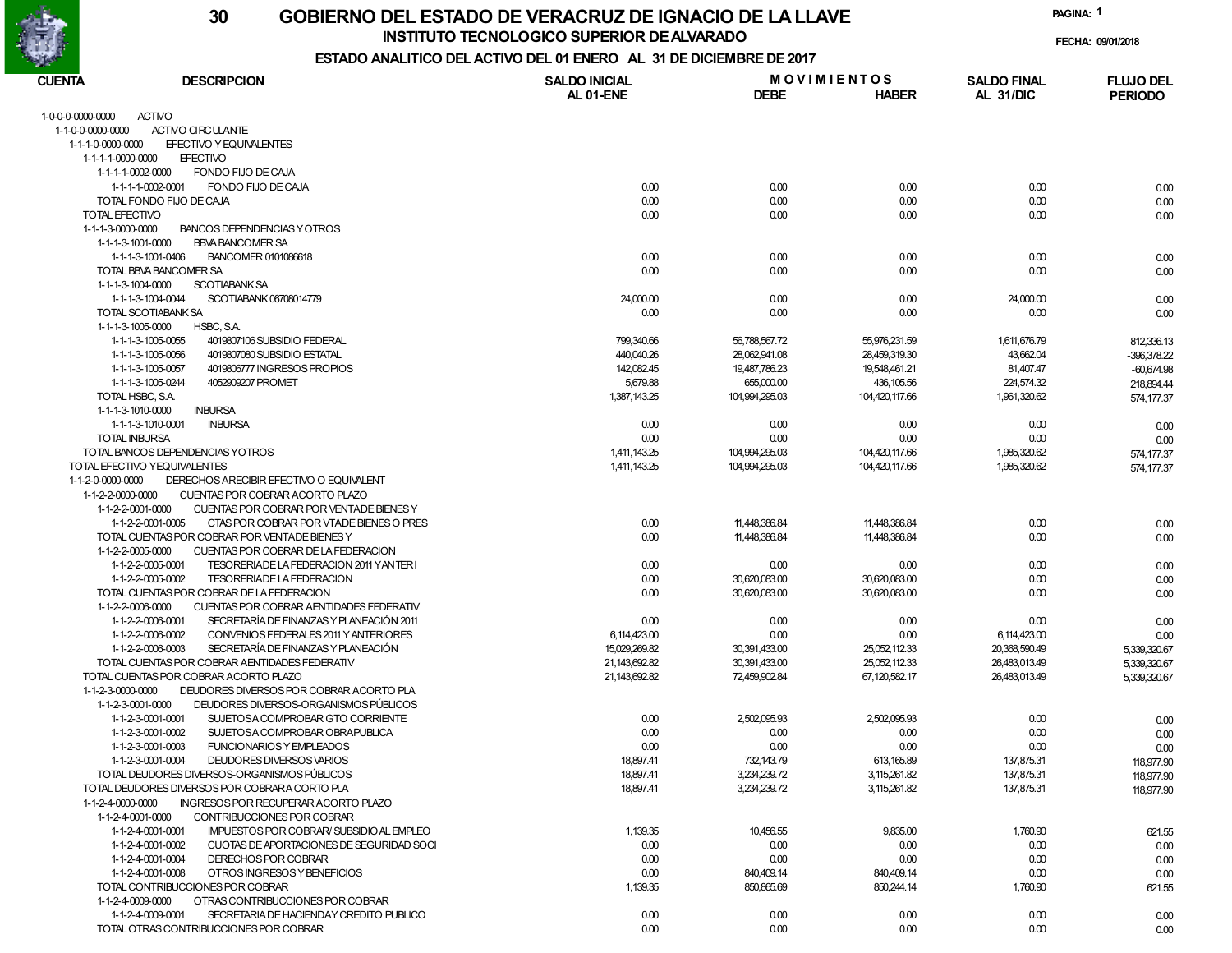

**INSTITUTO TECNOLOGICO SUPERIOR DE ALVARADO**

**PAGINA:1**

**FECHA: 09/01/2018**

# **ESTADO ANALITICO DEL ACTIVO DEL 01 ENERO AL 31 DE DICIEMBRE DE 2017**

| <b>CUENTA</b><br><b>DESCRIPCION</b> |                                                                                      | <b>SALDO INICIAL</b> | <b>MOVIMIENTOS</b> |                | <b>SALDO FINAL</b> | <b>FLUJO DEL</b> |  |
|-------------------------------------|--------------------------------------------------------------------------------------|----------------------|--------------------|----------------|--------------------|------------------|--|
|                                     |                                                                                      | AL 01-ENE            | <b>DEBE</b>        | <b>HABER</b>   | AL 31/DIC          | <b>PERIODO</b>   |  |
| 1-0-0-0-0000-0000                   | <b>ACTIVO</b>                                                                        |                      |                    |                |                    |                  |  |
| 1-1-0-0-0000-0000                   | ACTIVO CIRCULANTE                                                                    |                      |                    |                |                    |                  |  |
| 1-1-1-0-0000-0000                   | EFECTIVO Y EQUIVALENTES                                                              |                      |                    |                |                    |                  |  |
| 1-1-1-1-0000-0000                   | <b>EFECTIVO</b>                                                                      |                      |                    |                |                    |                  |  |
| 1-1-1-1-0002-0000                   | FONDO FIJO DE CAJA                                                                   |                      |                    |                |                    |                  |  |
| 1-1-1-1-0002-0001                   | FONDO FIJO DE CAJA                                                                   | 0.00                 | 0.00               | 0.00           | 0.00               | 0.00             |  |
|                                     | TOTAL FONDO FIJO DE CAJA                                                             | 0.00                 | 0.00               | 0.00           | 0.00               | 0.00             |  |
| TOTAL EFECTIVO                      |                                                                                      | 0.00                 | 0.00               | 0.00           | 0.00               | 0.00             |  |
| 1-1-1-3-0000-0000                   | BANCOS DEPENDENCIAS Y OTROS                                                          |                      |                    |                |                    |                  |  |
| 1-1-1-3-1001-0000                   | <b>BBVA BANCOMER SA</b>                                                              |                      |                    |                |                    |                  |  |
| 1-1-1-3-1001-0406                   | BANCOMER 0101086618<br>TOTAL BBVA BANCOMER SA                                        | 0.00<br>0.00         | 0.00<br>0.00       | 0.00<br>0.00   | 0.00<br>0.00       | 0.00             |  |
| 1-1-1-3-1004-0000                   | <b>SCOTIABANK SA</b>                                                                 |                      |                    |                |                    | 0.00             |  |
| 1-1-1-3-1004-0044                   | SCOTIABANK 06708014779                                                               | 24,000.00            | 0.00               | 0.00           | 24,000.00          | 0.00             |  |
| TOTAL SCOTIABANK SA                 |                                                                                      | 0.00                 | 0.00               | 0.00           | 0.00               | 0.00             |  |
| 1-1-1-3-1005-0000                   | HSBC, S.A.                                                                           |                      |                    |                |                    |                  |  |
| 1-1-1-3-1005-0055                   | 4019807106 SUBSIDIO FEDERAL                                                          | 799,340.66           | 56,788,567.72      | 55,976,231.59  | 1,611,676.79       | 812,336.13       |  |
| 1-1-1-3-1005-0056                   | 4019807080 SUBSIDIO ESTATAL                                                          | 440,040.26           | 28,062,941.08      | 28,459,319.30  | 43,662.04          | -396,378.22      |  |
| 1-1-1-3-1005-0057                   | 4019806777 INGRESOS PROPIOS                                                          | 142,082.45           | 19,487,786.23      | 19,548,461.21  | 81,407.47          | $-60,674.98$     |  |
| 1-1-1-3-1005-0244                   | 4052909207 PROMET                                                                    | 5,679.88             | 655,000.00         | 436, 105.56    | 224,574.32         | 218,894.44       |  |
| TOTAL HSBC, S.A.                    |                                                                                      | 1,387,143.25         | 104,994,295.03     | 104,420,117.66 | 1,961,320.62       | 574, 177.37      |  |
| 1-1-1-3-1010-0000                   | <b>INBURSA</b>                                                                       |                      |                    |                |                    |                  |  |
| 1-1-1-3-1010-0001                   | <b>INBURSA</b>                                                                       | 0.00                 | 0.00               | 0.00           | 0.00               | 0.00             |  |
| <b>TOTAL INBURSA</b>                |                                                                                      | 0.00                 | 0.00               | 0.00           | 0.00               | 0.00             |  |
|                                     | TOTAL BANCOS DEPENDENCIAS YOTROS                                                     | 1,411,143.25         | 104,994,295.03     | 104,420,117.66 | 1,985,320.62       | 574, 177.37      |  |
| TOTAL EFECTIVO YEQUIVALENTES        |                                                                                      | 1,411,143.25         | 104,994,295.03     | 104,420,117.66 | 1,985,320.62       | 574, 177.37      |  |
| 1-1-2-0-0000-0000                   | DERECHOS ARECIBIR EFECTIVO O EQUIVALENT                                              |                      |                    |                |                    |                  |  |
| 1-1-2-2-0000-0000                   | CUENTAS POR COBRAR ACORTO PLAZO                                                      |                      |                    |                |                    |                  |  |
| 1-1-2-2-0001-0000                   | CUENTAS POR COBRAR POR VENTADE BIENES Y                                              |                      |                    |                |                    |                  |  |
| 1-1-2-2-0001-0005                   | CTAS POR COBRAR POR VTADE BIENES O PRES                                              | 0.00                 | 11,448,386.84      | 11,448,386.84  | 0.00               | 0.00             |  |
|                                     | TOTAL CUENTAS POR COBRAR POR VENTADE BIENES Y                                        | 0.00                 | 11,448,386.84      | 11,448,386.84  | 0.00               | 0.00             |  |
| 1-1-2-2-0005-0000                   | CUENTAS POR COBRAR DE LA FEDERACION                                                  |                      |                    |                |                    |                  |  |
| 1-1-2-2-0005-0001                   | TESORERIADE LA FEDERACION 2011 YAN TERI                                              | 0.00                 | 0.00               | 0.00           | 0.00               | 0.00             |  |
| 1-1-2-2-0005-0002                   | TESORERIADE LA FEDERACION                                                            | 0.00                 | 30,620,083.00      | 30,620,083.00  | 0.00               | 0.00             |  |
| 1-1-2-2-0006-0000                   | TOTAL CUENTAS POR COBRAR DE LA FEDERACION<br>CUENTAS POR COBRAR AENTIDADES FEDERATIV | 0.00                 | 30,620,083.00      | 30,620,083.00  | 0.00               | 0.00             |  |
| 1-1-2-2-0006-0001                   | SECRETARÍA DE FINANZAS Y PLANEACIÓN 2011                                             | 0.00                 | 0.00               | 0.00           | 0.00               |                  |  |
| 1-1-2-2-0006-0002                   | CONVENIOS FEDERALES 2011 Y ANTERIORES                                                | 6,114,423.00         | 0.00               | 0.00           | 6,114,423.00       | 0.00<br>0.00     |  |
| 1-1-2-2-0006-0003                   | SECRETARÍA DE FINANZAS Y PLANEACIÓN                                                  | 15,029,269.82        | 30,391,433.00      | 25,052,112.33  | 20,368,590.49      | 5,339,320.67     |  |
|                                     | TOTAL CUENTAS POR COBRAR AENTIDADES FEDERATIV                                        | 21,143,692.82        | 30,391,433.00      | 25,052,112.33  | 26,483,013.49      | 5,339,320.67     |  |
|                                     | TOTAL CUENTAS POR COBRAR ACORTO PLAZO                                                | 21,143,692.82        | 72,459,902.84      | 67,120,582.17  | 26,483,013.49      | 5,339,320.67     |  |
| 1-1-2-3-0000-0000                   | DEUDORES DIVERSOS POR COBRAR ACORTO PLA                                              |                      |                    |                |                    |                  |  |
| 1-1-2-3-0001-0000                   | DEUDORES DIVERSOS-ORGANISMOS PÚBLICOS                                                |                      |                    |                |                    |                  |  |
| 1-1-2-3-0001-0001                   | SUJETOSA COMPROBAR GTO CORRIENTE                                                     | 0.00                 | 2,502,095.93       | 2,502,095.93   | 0.00               | 0.00             |  |
| 1-1-2-3-0001-0002                   | SUJETOSA COMPROBAR OBRAPUBLICA                                                       | 0.00                 | 0.00               | 0.00           | 0.00               | 0.00             |  |
| 1-1-2-3-0001-0003                   | <b>FUNCIONARIOS Y EMPLEADOS</b>                                                      | 0.00                 | 0.00               | 0.00           | 0.00               | 0.00             |  |
| 1-1-2-3-0001-0004                   | DEUDORES DIVERSOS VARIOS                                                             | 18,897.41            | 732,143.79         | 613, 165.89    | 137,875.31         | 118,977.90       |  |
|                                     | TOTAL DEUDORES DIVERSOS-ORGANISMOS PÚBLICOS                                          | 18,897.41            | 3,234,239.72       | 3, 115, 261.82 | 137,875.31         | 118,977.90       |  |
|                                     | TOTAL DEUDORES DIVERSOS POR COBRARA CORTO PLA                                        | 18,897.41            | 3,234,239.72       | 3, 115, 261.82 | 137,875.31         | 118,977.90       |  |
| 1-1-2-4-0000-0000                   | INGRESOS POR RECUPERAR ACORTO PLAZO                                                  |                      |                    |                |                    |                  |  |
| 1-1-2-4-0001-0000                   | CONTRIBUCCIONES POR COBRAR                                                           |                      |                    |                |                    |                  |  |
| 1-1-2-4-0001-0001                   | <b>IMPUESTOS POR COBRAR/ SUBSIDIO AL EMPLEO</b>                                      | 1,139.35             | 10,456.55          | 9,835.00       | 1,760.90           | 621.55           |  |
| 1-1-2-4-0001-0002                   | CUOTAS DE APORTACIONES DE SEGURIDAD SOCI                                             | 0.00                 | 0.00               | 0.00           | 0.00               | 0.00             |  |
| 1-1-2-4-0001-0004                   | DERECHOS POR COBRAR                                                                  | 0.00                 | 0.00               | 0.00           | 0.00               | 0.00             |  |
| 1-1-2-4-0001-0008                   | OTROS INGRESOS Y BENEFICIOS                                                          | 0.00                 | 840,409.14         | 840,409.14     | 0.00               | 0.00             |  |
|                                     | TOTAL CONTRIBUCCIONES POR COBRAR                                                     | 1,139.35             | 850,865.69         | 850,244.14     | 1,760.90           | 621.55           |  |
| 1-1-2-4-0009-0000                   | OTRAS CONTRIBUCCIONES POR COBRAR                                                     |                      |                    |                |                    |                  |  |
| 1-1-2-4-0009-0001                   | SECRETARIA DE HACIENDAY CREDITO PUBLICO                                              | 0.00                 | 0.00               | 0.00           | 0.00               | 0.00             |  |
|                                     | TOTAL OTRAS CONTRIBUCCIONES POR COBRAR                                               | 0.00                 | 0.00               | 0.00           | 0.00               | 0.00             |  |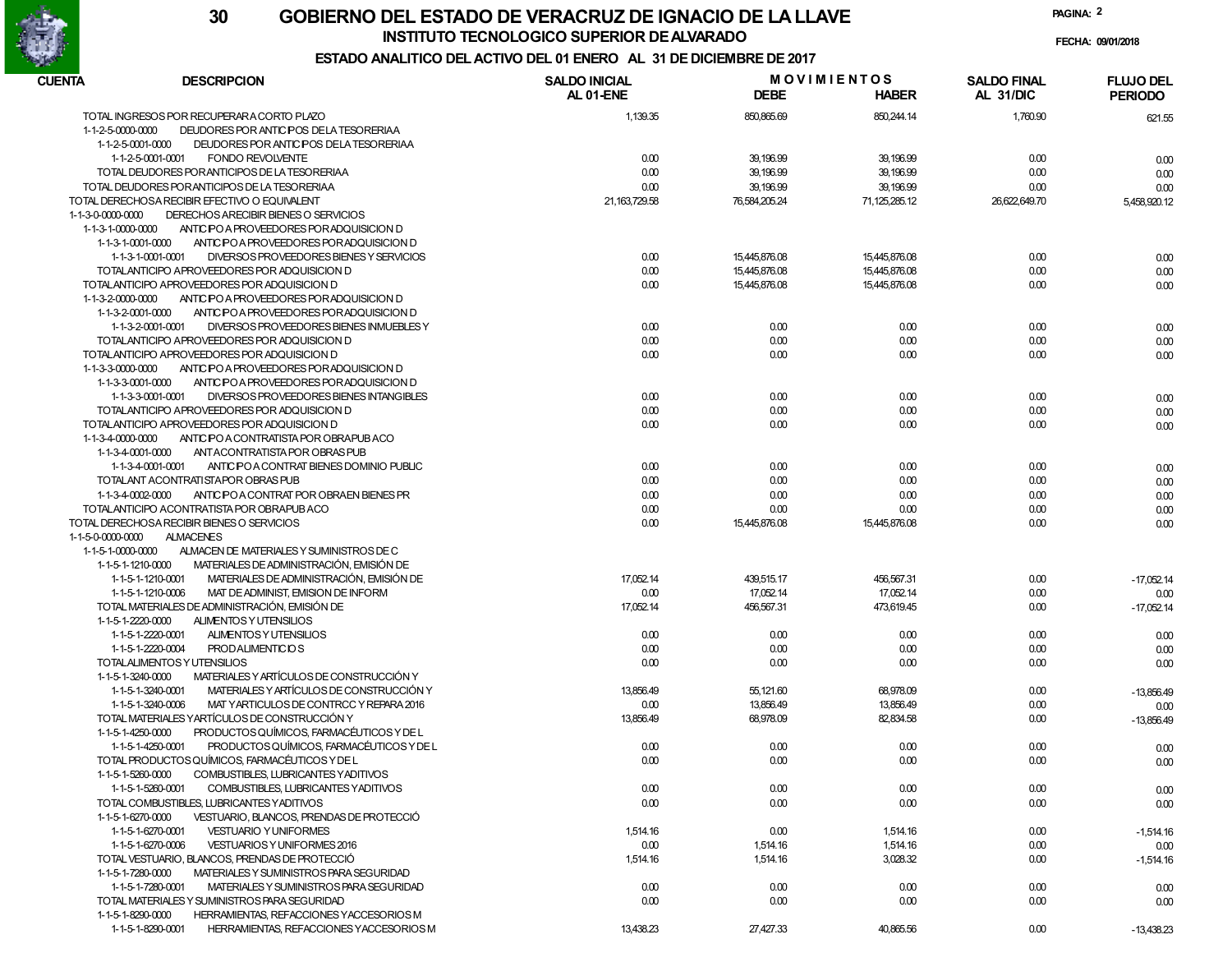

### **GOBIERNO DEL ESTADO DE VERACRUZ DE IGNACIO DE LA LLAVE30INSTITUTO TECNOLOGICO SUPERIOR DE ALVARADO**

**PAGINA:2**

### **FECHA: 09/01/2018 ESTADO ANALITICO DEL ACTIVO DEL 01 ENERO AL 31 DE DICIEMBRE DE 2017**

| CUENTA<br><b>DESCRIPCION</b>                                                                              | <b>SALDO INICIAL</b><br>AL 01-ENE | <b>DEBE</b>   | <b>MOVIMIENTOS</b><br><b>HABER</b> | <b>SALDO FINAL</b><br>AL 31/DIC | <b>FLUJO DEL</b><br><b>PERIODO</b> |
|-----------------------------------------------------------------------------------------------------------|-----------------------------------|---------------|------------------------------------|---------------------------------|------------------------------------|
| TOTAL INGRESOS POR RECUPERARA CORTO PLAZO                                                                 | 1,139.35                          | 850,865.69    | 850,244.14                         | 1,760.90                        | 621.55                             |
| 1-1-2-5-0000-0000<br>DEUDORES POR ANTIC POS DE LA TESORERIAA                                              |                                   |               |                                    |                                 |                                    |
| 1-1-2-5-0001-0000<br>DEUDORES POR ANTICIPOS DE LA TESORERIAA                                              |                                   |               |                                    |                                 |                                    |
| 1-1-2-5-0001-0001<br><b>FONDO REVOLVENTE</b>                                                              | 0.00                              | 39,196.99     | 39, 196.99                         | 0.00                            | 0.00                               |
| TOTAL DEUDORES POR ANTICIPOS DE LA TESORERIAA                                                             | 0.00                              | 39,196.99     | 39, 196.99                         | 0.00                            | 0.00                               |
| TOTAL DEUDORES POR ANTICIPOS DE LA TESORERIAA                                                             | 0.00                              | 39,196.99     | 39, 196.99                         | 0.00                            | 0.00                               |
| TOTAL DERECHOSA RECIBIR EFECTIVO O EQUIVALENT                                                             | 21, 163, 729.58                   | 76,584,205.24 | 71,125,285.12                      | 26,622,649.70                   | 5,458,920.12                       |
| 1-1-3-0-0000-0000<br>DERECHOS ARECIBIR BIENES O SERVICIOS                                                 |                                   |               |                                    |                                 |                                    |
| ANTIC PO A PROVEEDORES POR ADQUISICION D<br>1-1-3-1-0000-0000                                             |                                   |               |                                    |                                 |                                    |
| 1-1-3-1-0001-0000<br>ANTIC POA PROVEEDORES POR ADQUISICION D                                              |                                   |               |                                    |                                 |                                    |
| 1-1-3-1-0001-0001<br>DIVERSOS PROVEEDORES BIENES Y SERVICIOS                                              | 0.00                              | 15.445.876.08 | 15,445,876.08                      | 0.00                            | 0.00                               |
| TOTALANTICIPO APROVEEDORES POR ADQUISICION D                                                              | 0.00                              | 15.445.876.08 | 15,445,876.08                      | 0.00                            | 0.00                               |
| TOTALANTICIPO APROVEEDORES POR ADQUISICION D                                                              | 0.00                              | 15,445,876.08 | 15,445,876.08                      | 0.00                            | 0.00                               |
| ANTIC PO A PROVEEDORES POR ADQUISICION D<br>1-1-3-2-0000-0000                                             |                                   |               |                                    |                                 |                                    |
| 1-1-3-2-0001-0000<br>ANTIC POA PROVEEDORES POR ADQUISICION D                                              |                                   |               |                                    |                                 |                                    |
| 1-1-3-2-0001-0001<br>DIVERSOS PROVEEDORES BIENES INMUEBLES Y                                              | 0.00                              | 0.00          | 0.00                               | 0.00                            | 0.00                               |
| TOTALANTICIPO APROVEEDORES POR ADQUISICION D                                                              | 0.00                              | 0.00          | 0.00                               | 0.00                            | 0.00                               |
| TOTALANTICIPO APROVEEDORES POR ADQUISICION D                                                              | 0.00                              | 0.00          | 0.00                               | 0.00                            | 0.00                               |
| 1-1-3-3-0000-0000<br>ANTIC PO A PROVEEDORES POR ADQUISICION D                                             |                                   |               |                                    |                                 |                                    |
| 1-1-3-3-0001-0000<br>ANTIC POA PROVEEDORES POR ADQUISICION D                                              |                                   |               |                                    |                                 |                                    |
| DIVERSOS PROVEEDORES BIENES INTANGIBLES<br>1-1-3-3-0001-0001                                              | 0.00                              | 0.00          | 0.00                               | 0.00                            | 0.00                               |
| TOTALANTICIPO APROVEEDORES POR ADQUISICION D                                                              | 0.00                              | 0.00          | 0.00                               | 0.00                            | 0.00                               |
| TOTALANTICIPO APROVEEDORES POR ADQUISICION D                                                              | 0.00                              | 0.00          | 0.00                               | 0.00                            | 0.00                               |
| ANTIC PO A CONTRATISTA POR OBRAPUBACO<br>1-1-3-4-0000-0000                                                |                                   |               |                                    |                                 |                                    |
| 1-1-3-4-0001-0000<br>ANT ACONTRATISTA POR OBRAS PUB                                                       |                                   |               |                                    |                                 |                                    |
| ANTIC PO A CONTRAT BIENES DOMINIO PUBLIC<br>1-1-3-4-0001-0001                                             | 0.00                              | 0.00          | 0.00                               | 0.00                            | 0.00                               |
| TOTALANT ACONTRATISTAPOR OBRAS PUB                                                                        | 0.00                              | 0.00          | 0.00                               | 0.00                            | 0.00                               |
| ANTIC POA CONTRAT POR OBRAEN BIENES PR<br>1-1-3-4-0002-0000                                               | 0.00                              | 0.00          | 0.00                               | 0.00                            |                                    |
| TOTALANTICIPO ACONTRATISTA POR OBRAPUBACO                                                                 | 0.00                              | 0.00          | 0.00                               | 0.00                            | 0.00                               |
| TOTAL DERECHOSA RECIBIR BIENES O SERVICIOS                                                                |                                   |               |                                    | 0.00                            | 0.00                               |
| <b>ALMACENES</b>                                                                                          | 0.00                              | 15,445,876.08 | 15,445,876.08                      |                                 | 0.00                               |
| 1-1-5-0-0000-0000                                                                                         |                                   |               |                                    |                                 |                                    |
| ALMACEN DE MATERIALES Y SUMINISTROS DE C<br>1-1-5-1-0000-0000<br>MATERIALES DE ADMINISTRACIÓN, EMISIÓN DE |                                   |               |                                    |                                 |                                    |
| 1-1-5-1-1210-0000<br>MATERIALES DE ADMINISTRACIÓN, EMISIÓN DE                                             |                                   |               |                                    |                                 |                                    |
| 1-1-5-1-1210-0001                                                                                         | 17,052.14                         | 439,515.17    | 456,567.31                         | 0.00                            | $-17,052.14$                       |
| MAT DE ADMINIST, EMISION DE INFORM<br>1-1-5-1-1210-0006                                                   | 0.00                              | 17,052.14     | 17,052.14                          | 0.00                            | 0.00                               |
| TOTAL MATERIALES DE ADMINISTRACIÓN, EMISIÓN DE                                                            | 17,052.14                         | 456,567.31    | 473,619.45                         | 0.00                            | $-17,052.14$                       |
| ALIMENTOS Y UTENSILIOS<br>1-1-5-1-2220-0000                                                               |                                   |               |                                    |                                 |                                    |
| ALIMENTOS Y UTENSILIOS<br>1-1-5-1-2220-0001                                                               | 0.00                              | 0.00          | 0.00                               | 0.00                            | 0.00                               |
| 1-1-5-1-2220-0004<br><b>PRODALIMENTICIOS</b>                                                              | 0.00                              | 0.00          | 0.00                               | 0.00                            | 0.00                               |
| TOTALALIMENTOS Y UTENSILIOS                                                                               | 0.00                              | 0.00          | 0.00                               | 0.00                            | 0.00                               |
| MATERIALES Y ARTÍCULOS DE CONSTRUCCIÓN Y<br>1-1-5-1-3240-0000                                             |                                   |               |                                    |                                 |                                    |
| MATERIALES Y ARTÍCULOS DE CONSTRUCCIÓN Y<br>1-1-5-1-3240-0001                                             | 13,856.49                         | 55,121.60     | 68,978.09                          | 0.00                            | -13,856.49                         |
| MAT YARTICULOS DE CONTRCC Y REPARA 2016<br>1-1-5-1-3240-0006                                              | 0.00                              | 13,856.49     | 13,856.49                          | 0.00                            | 0.00                               |
| TOTAL MATERIALES YARTÍCULOS DE CONSTRUCCIÓN Y                                                             | 13,856.49                         | 68,978.09     | 82,834.58                          | 0.00                            | $-13,856.49$                       |
| PRODUCTOS QUÍMICOS, FARMACÉUTICOS Y DE L<br>1-1-5-1-4250-0000                                             |                                   |               |                                    |                                 |                                    |
| PRODUCTOS QUÍMICOS, FARMACÉUTICOS Y DE L<br>1-1-5-1-4250-0001                                             | 0.00                              | 0.00          | 0.00                               | 0.00                            | 0.00                               |
| TOTAL PRODUCTOS QUÍMICOS, FARMACÉUTICOS Y DE L                                                            | 0.00                              | 0.00          | 0.00                               | 0.00                            | 0.00                               |
| 1-1-5-1-5260-0000<br>COMBUSTIBLES, LUBRICANTES YADITIVOS                                                  |                                   |               |                                    |                                 |                                    |
| 1-1-5-1-5260-0001<br>COMBUSTIBLES, LUBRICANTES YADITIVOS                                                  | 0.00                              | 0.00          | 0.00                               | 0.00                            | 0.00                               |
| TOTAL COMBUSTIBLES, LUBRICANTES YADITIVOS                                                                 | 0.00                              | 0.00          | 0.00                               | 0.00                            | 0.00                               |
| 1-1-5-1-6270-0000<br>VESTUARIO, BLANCOS, PRENDAS DE PROTECCIÓ                                             |                                   |               |                                    |                                 |                                    |
| 1-1-5-1-6270-0001<br><b>VESTUARIO Y UNIFORMES</b>                                                         | 1,514.16                          | 0.00          | 1,514.16                           | 0.00                            | -1,514.16                          |
| 1-1-5-1-6270-0006<br>VESTUARIOS Y UNIFORMES 2016                                                          | 0.00                              | 1,514.16      | 1,514.16                           | 0.00                            | 0.00                               |
| TOTAL VESTUARIO, BLANCOS, PRENDAS DE PROTECCIÓ                                                            | 1,514.16                          | 1,514.16      | 3,028.32                           | 0.00                            | $-1,514.16$                        |
| 1-1-5-1-7280-0000<br>MATERIALES Y SUMINISTROS PARA SEGURIDAD                                              |                                   |               |                                    |                                 |                                    |
| 1-1-5-1-7280-0001<br>MATERIALES Y SUMINISTROS PARA SEGURIDAD                                              | 0.00                              | 0.00          | 0.00                               | 0.00                            | 0.00                               |
| TOTAL MATERIALES Y SUMINISTROS PARA SEGURIDAD                                                             | 0.00                              | 0.00          | 0.00                               | 0.00                            | 0.00                               |
| 1-1-5-1-8290-0000<br>HERRAMIENTAS, REFACCIONES YACCESORIOS M                                              |                                   |               |                                    |                                 |                                    |
| 1-1-5-1-8290-0001<br>HERRAMIENTAS, REFACCIONES YACCESORIOS M                                              | 13,438.23                         | 27,427.33     | 40,865.56                          | 0.00                            | $-13,438.23$                       |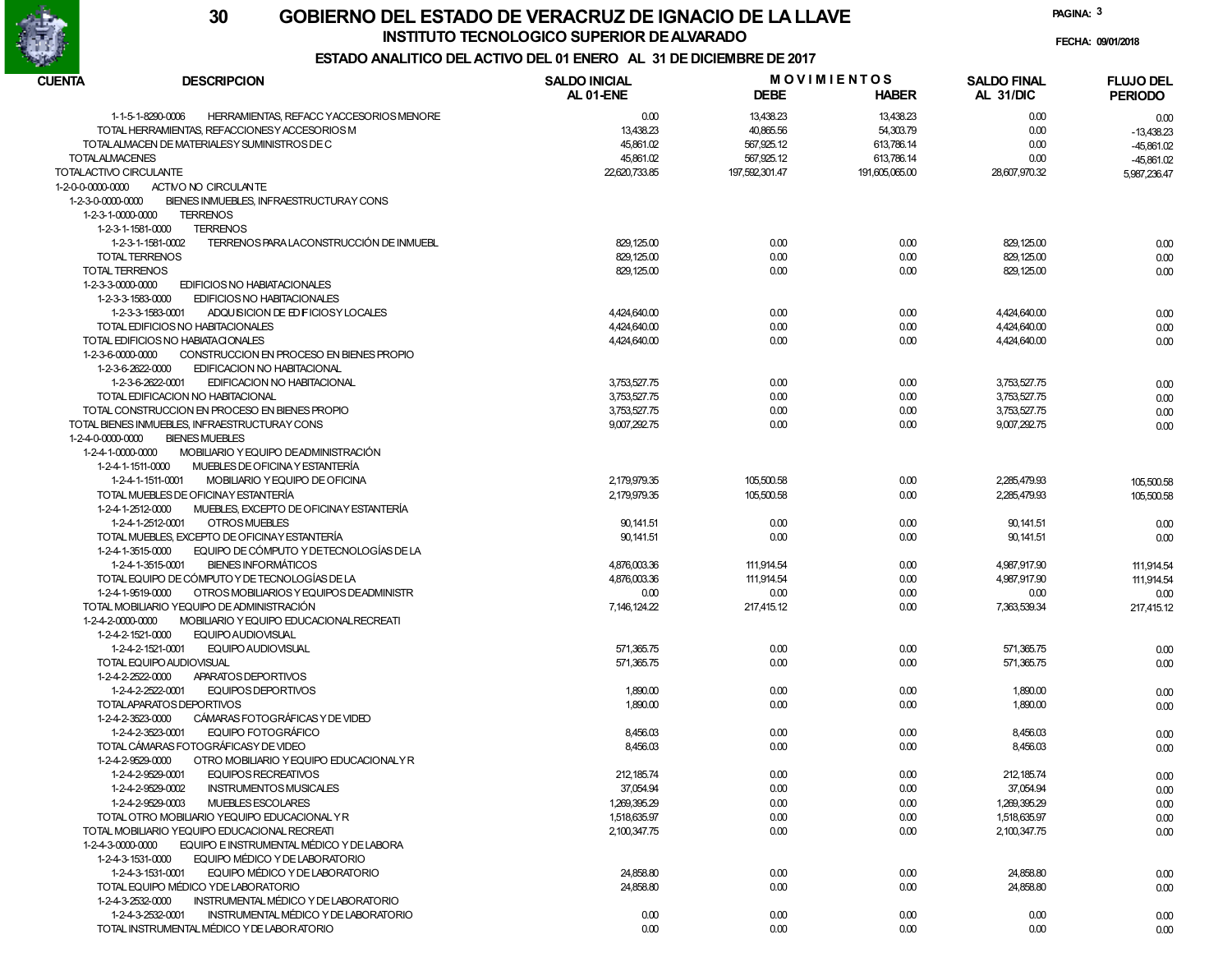

### **GOBIERNO DEL ESTADO DE VERACRUZ DE IGNACIO DE LA LLAVE30INSTITUTO TECNOLOGICO SUPERIOR DE ALVARADO**

**PAGINA:3**

### **FECHA: 09/01/2018 ESTADO ANALITICO DEL ACTIVO DEL 01 ENERO AL 31 DE DICIEMBRE DE 2017**

| CUENTA<br><b>DESCRIPCION</b> |                                                              | <b>SALDO INICIAL</b> | <b>MOVIMIENTOS</b> |                | <b>SALDO FINAL</b> | <b>FLUJO DEL</b> |  |
|------------------------------|--------------------------------------------------------------|----------------------|--------------------|----------------|--------------------|------------------|--|
|                              |                                                              | AL 01-ENE            | <b>DEBE</b>        | <b>HABER</b>   | AL 31/DIC          | <b>PERIODO</b>   |  |
|                              | 1-1-5-1-8290-0006<br>HERRAMIENTAS, REFACC YACCESORIOS MENORE | 0.00                 | 13,438.23          | 13,438.23      | 0.00               | 0.00             |  |
|                              | TOTAL HERRAMIENTAS, REFACCIONES Y ACCESORIOS M               | 13,438.23            | 40,865.56          | 54,303.79      | 0.00               | $-13,438.23$     |  |
|                              | TOTALALMACEN DE MATERIALESY SUMINISTROS DE C                 | 45,861.02            | 567,925.12         | 613,786.14     | 0.00               | -45,861.02       |  |
| <b>TOTALALMACENES</b>        |                                                              | 45,861.02            | 567,925.12         | 613,786.14     | 0.00               | $-45,861.02$     |  |
| TOTALACTIVO CIRCULANTE       |                                                              | 22.620.733.85        | 197.592.301.47     | 191,605,065.00 | 28,607,970.32      |                  |  |
|                              |                                                              |                      |                    |                |                    | 5,987,236.47     |  |
| 1-2-0-0-0000-0000            | ACTIVO NO CIRCULANTE                                         |                      |                    |                |                    |                  |  |
| 1-2-3-0-0000-0000            | BIENES INMUEBLES, INFRAESTRUCTURAY CONS                      |                      |                    |                |                    |                  |  |
| 1-2-3-1-0000-0000            | <b>TERRENOS</b>                                              |                      |                    |                |                    |                  |  |
| 1-2-3-1-1581-0000            | <b>TERRENOS</b>                                              |                      |                    |                |                    |                  |  |
|                              | TERRENOS PARA LACONSTRUCCIÓN DE INMUEBL<br>1-2-3-1-1581-0002 | 829, 125.00          | 0.00               | 0.00           | 829, 125.00        | 0.00             |  |
|                              | <b>TOTAL TERRENOS</b>                                        | 829, 125.00          | 0.00               | 0.00           | 829, 125.00        | 0.00             |  |
| TOTAL TERRENOS               |                                                              | 829, 125.00          | 0.00               | 0.00           | 829, 125.00        | 0.00             |  |
| 1-2-3-3-0000-0000            | <b>EDIFICIOS NO HABIATACIONALES</b>                          |                      |                    |                |                    |                  |  |
| 1-2-3-3-1583-0000            | EDIFICIOS NO HABITACIONALES                                  |                      |                    |                |                    |                  |  |
|                              | 1-2-3-3-1583-0001<br>ADQUISICION DE ED FICIOSY LOCALES       | 4,424,640.00         | 0.00               | 0.00           | 4,424,640.00       | 0.00             |  |
|                              | TOTAL EDIFICIOS NO HABITACIONALES                            | 4,424,640.00         | 0.00               | 0.00           | 4,424,640.00       | 0.00             |  |
|                              | TOTAL EDIFICIOS NO HABIATA CIONALES                          | 4,424,640.00         | 0.00               | 0.00           | 4,424,640.00       | 0.00             |  |
| 1-2-3-6-0000-0000            | CONSTRUCCION EN PROCESO EN BIENES PROPIO                     |                      |                    |                |                    |                  |  |
|                              |                                                              |                      |                    |                |                    |                  |  |
| 1-2-3-6-2622-0000            | EDIFICACION NO HABITACIONAL                                  |                      |                    |                |                    |                  |  |
|                              | EDIFICACION NO HABITACIONAL<br>1-2-3-6-2622-0001             | 3,753,527.75         | 0.00               | 0.00           | 3,753,527.75       | 0.00             |  |
|                              | TOTAL EDIFICACION NO HABITACIONAL                            | 3,753,527.75         | 0.00               | 0.00           | 3,753,527.75       | 0.00             |  |
|                              | TOTAL CONSTRUCCION EN PROCESO EN BIENES PROPIO               | 3,753,527.75         | 0.00               | 0.00           | 3,753,527.75       | 0.00             |  |
|                              | TOTAL BIENES INMUEBLES. INFRAESTRUCTURAY CONS                | 9,007,292.75         | 0.00               | 0.00           | 9,007,292.75       | 0.00             |  |
| 1-2-4-0-0000-0000            | <b>BIENES MUEBLES</b>                                        |                      |                    |                |                    |                  |  |
| 1-2-4-1-0000-0000            | MOBILIARIO Y EQUIPO DEADMINISTRACIÓN                         |                      |                    |                |                    |                  |  |
| 1-2-4-1-1511-0000            | MUEBLES DE OFICINA Y ESTANTERÍA                              |                      |                    |                |                    |                  |  |
|                              | 1-2-4-1-1511-0001<br>MOBILIARIO Y EQUIPO DE OFICINA          | 2,179,979.35         | 105,500.58         | 0.00           | 2,285,479.93       | 105,500.58       |  |
|                              | TOTAL MUEBLES DE OFICINAY ESTANTERÍA                         | 2,179,979.35         | 105,500.58         | 0.00           | 2.285.479.93       |                  |  |
|                              | MUEBLES, EXCEPTO DE OFICINAY ESTANTERÍA                      |                      |                    |                |                    | 105,500.58       |  |
| 1-2-4-1-2512-0000            |                                                              |                      |                    |                |                    |                  |  |
|                              | 1-2-4-1-2512-0001<br><b>OTROS MUEBLES</b>                    | 90, 141.51           | 0.00               | 0.00           | 90, 141.51         | 0.00             |  |
|                              | TOTAL MUEBLES, EXCEPTO DE OFICINAY ESTANTERÍA                | 90, 141.51           | 0.00               | 0.00           | 90, 141.51         | 0.00             |  |
| 1-2-4-1-3515-0000            | EQUIPO DE CÓMPUTO Y DETECNOLOGÍAS DE LA                      |                      |                    |                |                    |                  |  |
|                              | <b>BIENES INFORMÁTICOS</b><br>1-2-4-1-3515-0001              | 4,876,003.36         | 111,914.54         | 0.00           | 4,987,917.90       | 111,914.54       |  |
|                              | TOTAL EQUIPO DE CÓMPUTO Y DE TECNOLOGÍAS DE LA               | 4,876,003.36         | 111,914.54         | 0.00           | 4,987,917.90       | 111,914.54       |  |
| 1-2-4-1-9519-0000            | OTROS MOBILIARIOS Y EQUIPOS DEADMINISTR                      | 0.00                 | 0.00               | 0.00           | 0.00               | 0.00             |  |
|                              | TOTAL MOBILIARIO YEQUIPO DE ADMINISTRACIÓN                   | 7, 146, 124.22       | 217,415.12         | 0.00           | 7,363,539.34       | 217,415.12       |  |
| 1-2-4-2-0000-0000            | MOBILIARIO Y EQUIPO EDUCACIONAL RECREATI                     |                      |                    |                |                    |                  |  |
| 1-2-4-2-1521-0000            | EQUIPO AUDIOVISUAL                                           |                      |                    |                |                    |                  |  |
|                              | 1-2-4-2-1521-0001<br><b>EQUIPO AUDIOVISUAL</b>               | 571,365.75           | 0.00               | 0.00           | 571,365.75         |                  |  |
|                              | TOTAL EQUIPO AUDIOVISUAL                                     | 571,365.75           | 0.00               | 0.00           | 571,365.75         | 0.00             |  |
|                              |                                                              |                      |                    |                |                    | 0.00             |  |
| 1-2-4-2-2522-0000            | APARATOS DEPORTIVOS                                          |                      |                    |                |                    |                  |  |
|                              | 1-2-4-2-2522-0001<br><b>EQUIPOS DEPORTIVOS</b>               | 1,890.00             | 0.00               | 0.00           | 1,890.00           | 0.00             |  |
|                              | TOTALAPARATOS DEPORTIVOS                                     | 1,890.00             | 0.00               | 0.00           | 1,890.00           | 0.00             |  |
| 1-2-4-2-3523-0000            | CÁMARAS FOTOGRÁFICAS Y DE VIDEO                              |                      |                    |                |                    |                  |  |
|                              | 1-2-4-2-3523-0001<br>EQUIPO FOTOGRÁFICO                      | 8,456.03             | 0.00               | 0.00           | 8,456.03           | 0.00             |  |
|                              | TOTAL CÁMARAS FOTOGRÁFICASY DE VIDEO                         | 8,456.03             | 0.00               | 0.00           | 8,456.03           | 0.00             |  |
| 1-2-4-2-9529-0000            | OTRO MOBILIARIO Y EQUIPO EDUCACIONALY R                      |                      |                    |                |                    |                  |  |
|                              | 1-2-4-2-9529-0001<br>EQUIPOS RECREATIVOS                     | 212, 185.74          | 0.00               | 0.00           | 212, 185.74        | 0.00             |  |
|                              | 1-2-4-2-9529-0002<br><b>INSTRUMENTOS MUSICALES</b>           | 37,054.94            | 0.00               | 0.00           | 37,054.94          | 0.00             |  |
|                              | 1-2-4-2-9529-0003<br>MUEBLES ESCOLARES                       | 1,269,395.29         | 0.00               | 0.00           | 1,269,395.29       |                  |  |
|                              |                                                              |                      |                    |                |                    | 0.00             |  |
|                              | TOTAL OTRO MOBILIARIO YEQUIPO EDUCACIONAL YR                 | 1,518,635.97         | 0.00               | 0.00           | 1,518,635.97       | 0.00             |  |
|                              | TOTAL MOBILIARIO YEQUIPO EDUCACIONAL RECREATI                | 2,100,347.75         | 0.00               | 0.00           | 2,100,347.75       | 0.00             |  |
| 1-2-4-3-0000-0000            | EQUIPO E INSTRUMENTAL MÉDICO Y DE LABORA                     |                      |                    |                |                    |                  |  |
| 1-2-4-3-1531-0000            | EQUIPO MÉDICO Y DE LABORATORIO                               |                      |                    |                |                    |                  |  |
|                              | EQUIPO MÉDICO Y DE LABORATORIO<br>1-2-4-3-1531-0001          | 24,858.80            | 0.00               | 0.00           | 24,858.80          | 0.00             |  |
|                              | TOTAL EQUIPO MÉDICO YDE LABORATORIO                          | 24,858.80            | 0.00               | 0.00           | 24,858.80          | 0.00             |  |
| 1-2-4-3-2532-0000            | INSTRUMENTAL MÉDICO Y DE LABORATORIO                         |                      |                    |                |                    |                  |  |
|                              | 1-2-4-3-2532-0001<br>INSTRUMENTAL MÉDICO Y DE LABORATORIO    | 0.00                 | 0.00               | 0.00           | 0.00               | 0.00             |  |
|                              | TOTAL INSTRUMENTAL MÉDICO Y DE LABORATORIO                   | 0.00                 | 0.00               | 0.00           | 0.00               | 0.00             |  |
|                              |                                                              |                      |                    |                |                    |                  |  |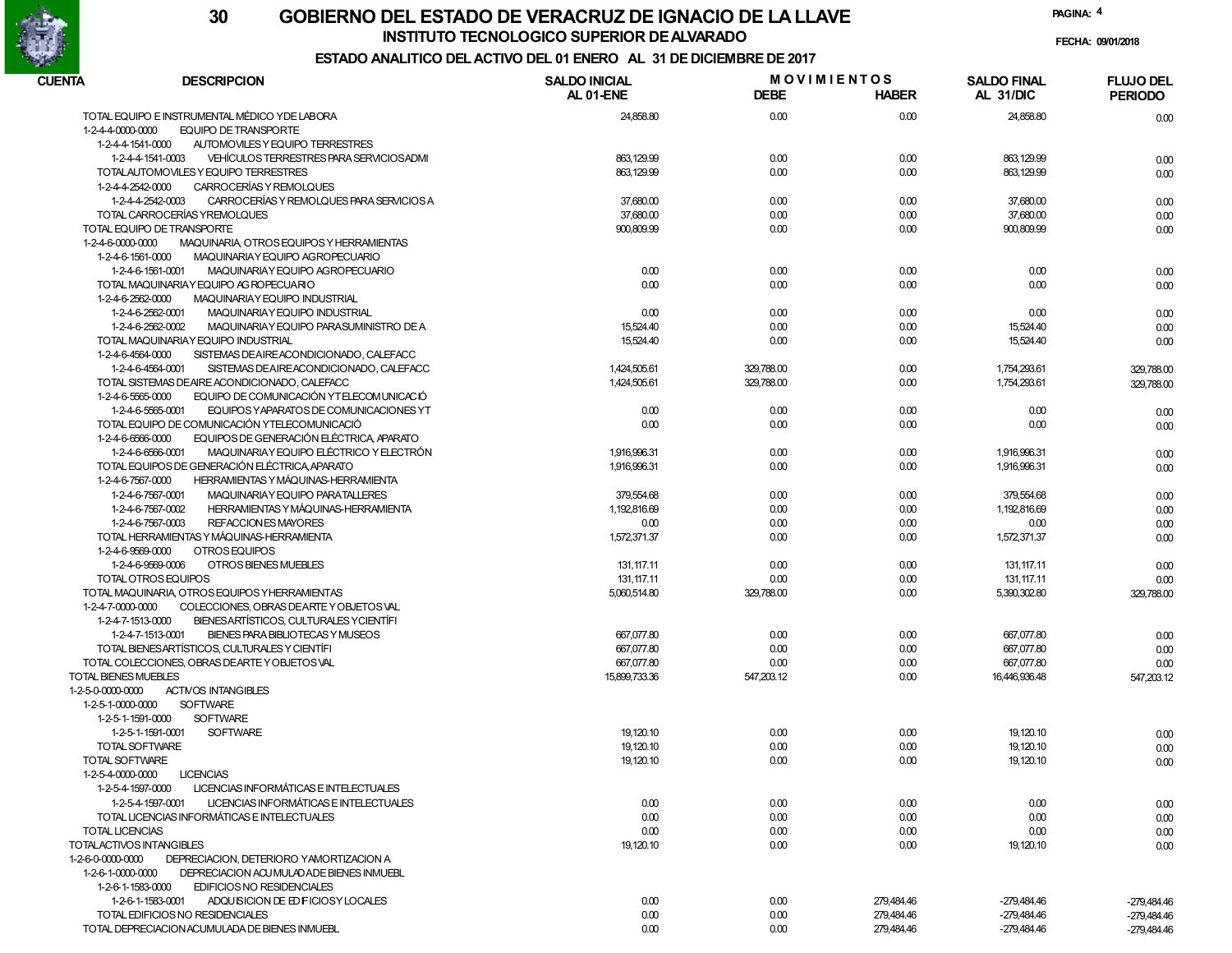

**INSTITUTO TECNOLOGICO SUPERIOR DE ALVARADO**

**PAGINA:4**

**FECHA: 09/01/2018**

## **ESTADO ANALITICO DEL ACTIVO DEL 01 ENERO AL 31 DE DICIEMBRE DE 2017**

| <b>CUENTA</b>                          | <b>DESCRIPCION</b>                                            | <b>SALDO INICIAL</b> | <b>MOVIMIENTOS</b> |              | <b>SALDO FINAL</b> | <b>FLUJO DEL</b>           |
|----------------------------------------|---------------------------------------------------------------|----------------------|--------------------|--------------|--------------------|----------------------------|
|                                        |                                                               | AL 01-ENE            | <b>DEBE</b>        | <b>HABER</b> | AL 31/DIC          | <b>PERIODO</b>             |
|                                        | TOTAL EQUIPO E INSTRUMENTAL MÉDICO YDE LABORA                 | 24,858.80            | 0.00               | 0.00         | 24.858.80          | 0.00                       |
| 1-2-4-4-0000-0000                      | <b>EQUIPO DE TRANSPORTE</b>                                   |                      |                    |              |                    |                            |
| 1-2-4-4-1541-0000                      | AUTOMOVILES Y EQUIPO TERRESTRES                               |                      |                    |              |                    |                            |
|                                        | 1-2-4-4-1541-0003<br>VEHÍCULOS TERRESTRES PARA SERVICIOS ADMI | 863, 129.99          | 0.00               | 0.00         | 863, 129.99        | 0.00                       |
|                                        | TOTALAUTOMOVILES Y EQUIPO TERRESTRES                          | 863, 129.99          | 0.00               | 0.00         | 863, 129.99        | 0.00                       |
| 1-2-4-4-2542-0000                      | CARROCERÍAS Y REMOLQUES                                       |                      |                    |              |                    |                            |
|                                        | CARROCERÍAS Y REMOLQUES PARA SERVICIOS A<br>1-2-4-4-2542-0003 | 37,680.00            | 0.00               | 0.00         | 37,680.00          | 0.00                       |
|                                        | TOTAL CARROCERÍAS YREMOLQUES                                  | 37,680.00            | 0.00               | 0.00         | 37,680.00          | 0.00                       |
|                                        | TOTAL EQUIPO DE TRANSPORTE                                    | 900,809.99           | 0.00               | 0.00         | 900,809.99         | 0.00                       |
| 1-2-4-6-0000-0000                      | MAQUINARIA, OTROS EQUIPOS Y HERRAMIENTAS                      |                      |                    |              |                    |                            |
| 1-2-4-6-1561-0000                      | MAQUINARIAY EQUIPO AGROPECUARIO                               |                      |                    |              |                    |                            |
|                                        | 1-2-4-6-1561-0001<br>MAQUINARIAY EQUIPO AGROPECUARIO          | 0.00                 | 0.00               | 0.00         | 0.00               | 0.00                       |
|                                        | TOTAL MAQUINARIAY EQUIPO AG ROPECUARIO                        | 0.00                 | 0.00               | 0.00         | 0.00               | 0.00                       |
| 1-2-4-6-2562-0000                      | MAQUINARIAY EQUIPO INDUSTRIAL                                 |                      |                    |              |                    |                            |
|                                        | 1-2-4-6-2562-0001<br>MAQUINARIAY EQUIPO INDUSTRIAL            | 0.00                 | 0.00               | 0.00         | 0.00               | 0.00                       |
|                                        | 1-2-4-6-2562-0002<br>MAQUINARIAY EQUIPO PARASUMINISTRO DE A   | 15,524.40            | 0.00               | 0.00         | 15,524.40          | 0.00                       |
|                                        | TOTAL MAQUINARIAY EQUIPO INDUSTRIAL                           | 15,524.40            | 0.00               | 0.00         | 15,524.40          | 0.00                       |
| 1-2-4-6-4564-0000                      | SISTEMAS DE AIREACONDICIONADO, CALEFACC                       |                      |                    |              |                    |                            |
|                                        | 1-2-4-6-4564-0001<br>SISTEMAS DE AIRE ACONDICIONADO, CALEFACC | 1,424,505.61         | 329,788.00         | 0.00         | 1,754,293.61       | 329,788.00                 |
|                                        | TOTAL SISTEMAS DEAIRE ACONDICIONADO, CALEFACC                 | 1,424,505.61         | 329,788.00         | 0.00         | 1,754,293.61       | 329,788.00                 |
| 1-2-4-6-5565-0000                      | EQUIPO DE COMUNICACIÓN YTELECOMUNICACIÓ                       |                      |                    |              |                    |                            |
|                                        | 1-2-4-6-5565-0001<br>EQUIPOS Y APARATOS DE COMUNICACIONES YT  | 0.00                 | 0.00               | 0.00         | 0.00               | 0.00                       |
|                                        | TOTAL EQUIPO DE COMUNICACIÓN YTELECOMUNICACIÓ                 | 0.00                 | 0.00               | 0.00         | 0.00               | 0.00                       |
| 1-2-4-6-6566-0000                      | EQUIPOS DE GENERACIÓN ELÉCTRICA APARATO                       |                      |                    |              |                    |                            |
|                                        | MAQUINARIAY EQUIPO ELÉCTRICO Y ELECTRÓN<br>1-2-4-6-6566-0001  | 1,916,996.31         | 0.00               | 0.00         | 1,916,996.31       | 0.00                       |
|                                        | TOTAL EQUIPOS DE GENERACIÓN ELÉCTRICA, APARATO                | 1,916,996.31         | 0.00               | 0.00         | 1,916,996.31       | 0.00                       |
| 1-2-4-6-7567-0000                      | HERRAMIENTAS Y MÁQUINAS-HERRAMIENTA                           |                      |                    |              |                    |                            |
|                                        | 1-2-4-6-7567-0001<br>MAQUINARIAY EQUIPO PARATALLERES          | 379,554.68           | 0.00               | 0.00         | 379,554.68         | 0.00                       |
|                                        | 1-2-4-6-7567-0002<br>HERRAMIENTAS Y MÁQUINAS-HERRAMIENTA      | 1,192,816.69         | 0.00               | 0.00         | 1,192,816.69       | 0.00                       |
|                                        | 1-2-4-6-7567-0003<br><b>REFACCIONES MAYORES</b>               | 0.00                 | 0.00               | 0.00         | 0.00               | 0.00                       |
|                                        | TOTAL HERRAMIENTAS Y MÁQUINAS-HERRAMIENTA                     | 1,572,371.37         | 0.00               | 0.00         | 1,572,371.37       | 0.00                       |
| 1-2-4-6-9569-0000                      | OTROS EQUIPOS                                                 |                      |                    |              |                    |                            |
|                                        | 1-2-4-6-9569-0006<br>OTROS BIENES MUEBLES                     | 131, 117.11          | 0.00               | 0.00         | 131, 117.11        | 0.00                       |
|                                        | TOTAL OTROS EQUIPOS                                           | 131, 117.11          | 0.00               | 0.00         | 131, 117.11        | 0.00                       |
|                                        | TOTAL MAQUINARIA, OTROS EQUIPOS YHERRAMIENTAS                 | 5,060,514.80         | 329,788.00         | 0.00         | 5,390,302.80       | 329,788.00                 |
| 1-2-4-7-0000-0000                      | COLECCIONES, OBRAS DEARTE YOBJETOS VAL                        |                      |                    |              |                    |                            |
| 1-2-4-7-1513-0000                      | BIENES ARTÍSTICOS, CULTURALES Y CIENTÍFI                      |                      |                    |              |                    |                            |
|                                        | BIENES PARA BIBLIOTECAS Y MUSEOS<br>1-2-4-7-1513-0001         | 667,077.80           | 0.00               | 0.00         | 667,077.80         | 0.00                       |
|                                        | TOTAL BIENESARTÍSTICOS, CULTURALES Y CIENTÍFI                 | 667,077.80           | 0.00               | 0.00         | 667,077.80         | 0.00                       |
|                                        | TOTAL COLECCIONES, OBRAS DEARTEY OBJETOS VAL                  | 667,077.80           | 0.00               | 0.00         | 667,077.80         | 0.00                       |
| <b>TOTAL BIENES MUEBLES</b>            |                                                               | 15,899,733.36        | 547,203.12         | 0.00         | 16,446,936.48      | 547,203.12                 |
| 1-2-5-0-0000-0000<br>1-2-5-1-0000-0000 | <b>ACTIVOS INTANGIBLES</b><br><b>SOFTWARE</b>                 |                      |                    |              |                    |                            |
| 1-2-5-1-1591-0000                      | <b>SOFTWARE</b>                                               |                      |                    |              |                    |                            |
|                                        | 1-2-5-1-1591-0001<br><b>SOFTWARE</b>                          | 19, 120.10           | 0.00               | 0.00         | 19, 120.10         |                            |
|                                        | <b>TOTAL SOFTWARE</b>                                         | 19, 120.10           | 0.00               | 0.00         | 19,120.10          | 0.00                       |
| <b>TOTAL SOFTWARE</b>                  |                                                               | 19,120.10            | 0.00               | 0.00         | 19, 120.10         | 0.00                       |
|                                        | <b>LICENCIAS</b>                                              |                      |                    |              |                    | 0.00                       |
| 1-2-5-4-0000-0000<br>1-2-5-4-1597-0000 | LICENCIAS INFORMÁTICAS E INTELECTUALES                        |                      |                    |              |                    |                            |
|                                        | 1-2-5-4-1597-0001<br>LICENCIAS INFORMÁTICAS E INTELECTUALES   | 0.00                 | 0.00               | 0.00         | 0.00               |                            |
|                                        | TOTAL LICENCIAS INFORMÁTICAS E INTELECTUALES                  | 0.00                 | 0.00               | 0.00         | 0.00               | 0.00<br>0.00               |
| <b>TOTAL LICENCIAS</b>                 |                                                               | 0.00                 | 0.00               | 0.00         | 0.00               |                            |
| TOTALACTIVOS INTANGIBLES               |                                                               | 19,120.10            | 0.00               | 0.00         | 19,120.10          | 0.00                       |
| 1-2-6-0-0000-0000                      | DEPRECIACION, DETERIORO YAMORTIZACION A                       |                      |                    |              |                    | 0.00                       |
| 1-2-6-1-0000-0000                      | DEPRECIACION ACU MULAD ADE BIENES INMUEBL                     |                      |                    |              |                    |                            |
| 1-2-6-1-1583-0000                      | <b>EDIFICIOS NO RESIDENCIALES</b>                             |                      |                    |              |                    |                            |
|                                        | ADQUISICION DE EDIFICIOSY LOCALES<br>1-2-6-1-1583-0001        | 0.00                 | 0.00               | 279,484.46   | -279,484.46        |                            |
|                                        | TOTAL EDIFICIOS NO RESIDENCIALES                              | 0.00                 | 0.00               | 279,484.46   | -279,484.46        | -279,484.46                |
|                                        | TOTAL DEPRECIACION ACUMULADA DE BIENES INMUEBL                | 0.00                 | 0.00               | 279,484.46   | -279,484.46        | -279,484.46<br>-279,484.46 |
|                                        |                                                               |                      |                    |              |                    |                            |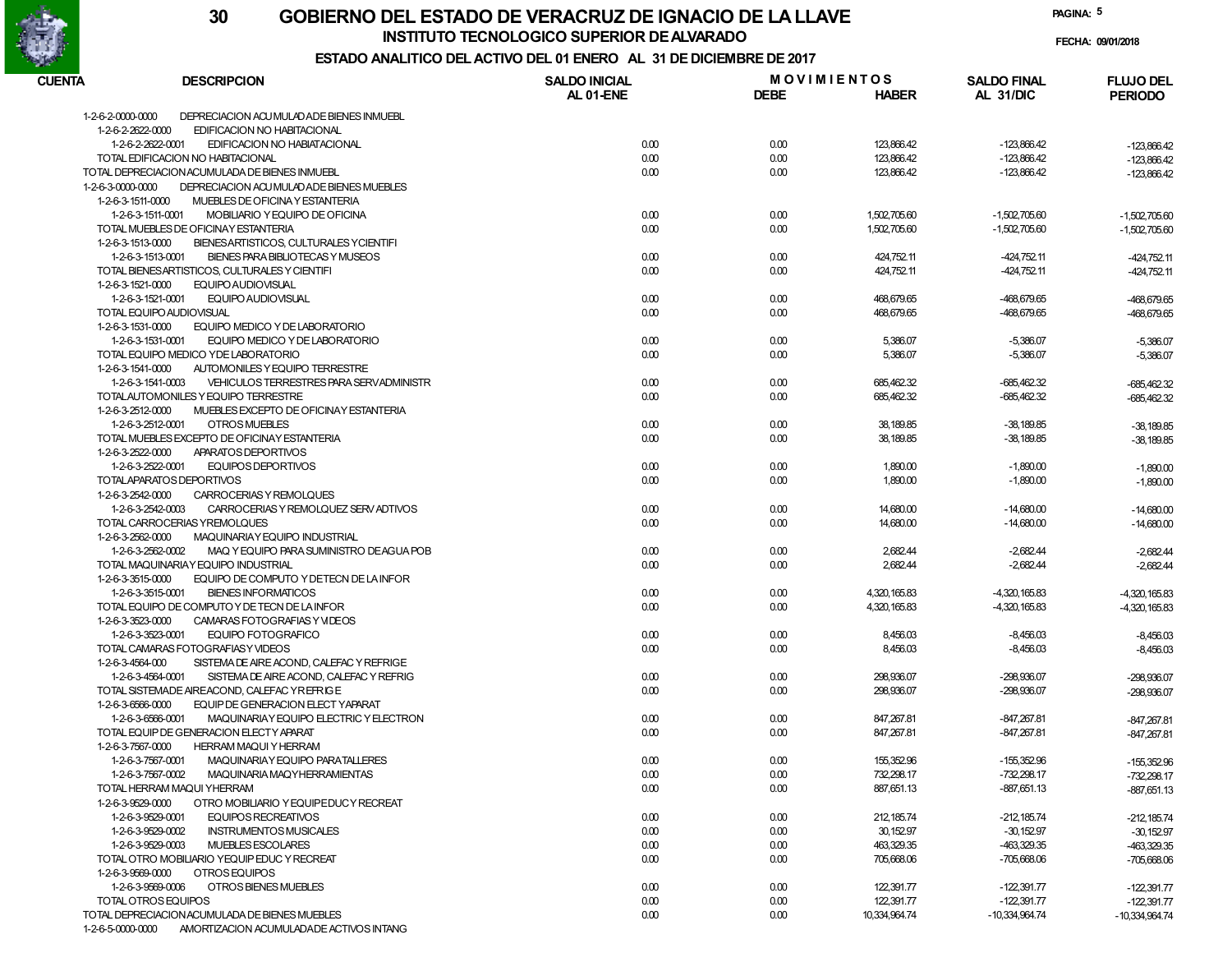

**INSTITUTO TECNOLOGICO SUPERIOR DE ALVARADO**

**PAGINA:5**

**FECHA: 09/01/2018**

## **ESTADO ANALITICO DEL ACTIVO DEL 01 ENERO AL 31 DE DICIEMBRE DE 2017**

| CUENTA                   | <b>DESCRIPCION</b>                              | <b>SALDO INICIAL</b> |             | <b>MOVIMIENTOS</b> | <b>SALDO FINAL</b> | <b>FLUJO DEL</b> |
|--------------------------|-------------------------------------------------|----------------------|-------------|--------------------|--------------------|------------------|
|                          |                                                 | AL 01-ENE            | <b>DEBE</b> | <b>HABER</b>       | AL 31/DIC          | <b>PERIODO</b>   |
| 1-2-6-2-0000-0000        | DEPRECIACION ACU MULAD ADE BIENES INMUEBL       |                      |             |                    |                    |                  |
| 1-2-6-2-2622-0000        | EDIFICACION NO HABITACIONAL                     |                      |             |                    |                    |                  |
| 1-2-6-2-2622-0001        | EDIFICACION NO HABIATACIONAL                    | 0.00                 | 0.00        | 123,866.42         | $-123,866.42$      | $-123,866.42$    |
|                          | TOTAL EDIFICACION NO HABITACIONAL               | 0.00                 | 0.00        | 123,866.42         | $-123,866.42$      | $-123,866.42$    |
|                          | TOTAL DEPRECIACION ACUMULADA DE BIENES INMUEBL  | 0.00                 | 0.00        | 123,866.42         | -123,866.42        | $-123,866.42$    |
| 1-2-6-3-0000-0000        | DEPRECIACION ACU MULADADE BIENES MUEBLES        |                      |             |                    |                    |                  |
| 1-2-6-3-1511-0000        | MUEBLES DE OFICINA Y ESTANTERIA                 |                      |             |                    |                    |                  |
| 1-2-6-3-1511-0001        | MOBILIARIO Y EQUIPO DE OFICINA                  | 0.00                 | 0.00        | 1,502,705.60       | $-1,502,705.60$    | $-1,502,705.60$  |
|                          | TOTAL MUEBLES DE OFICINAY ESTANTERIA            | 0.00                 | 0.00        | 1,502,705.60       | $-1,502,705.60$    | $-1,502,705.60$  |
| 1-2-6-3-1513-0000        | BIENESARTISTICOS, CULTURALES Y CIENTIFI         |                      |             |                    |                    |                  |
| 1-2-6-3-1513-0001        | BIENES PARA BIBLIOTECAS Y MUSEOS                | 0.00                 | 0.00        | 424,752.11         | $-424,752.11$      | -424,752.11      |
|                          | TOTAL BIENESARTISTICOS, CULTURALES Y CIENTIFI   | 0.00                 | 0.00        | 424,752.11         | $-424,752.11$      | -424,752.11      |
| 1-2-6-3-1521-0000        | <b>EQUIPO AUDIOVISUAL</b>                       |                      |             |                    |                    |                  |
| 1-2-6-3-1521-0001        | EQUIPO AUDIOVISUAL                              | 0.00                 | 0.00        | 468,679.65         | -468,679.65        | -468,679.65      |
| TOTAL EQUIPO AUDIOVISUAL |                                                 | 0.00                 | 0.00        | 468,679.65         | -468,679.65        | -468,679.65      |
| 1-2-6-3-1531-0000        | EQUIPO MEDICO Y DE LABORATORIO                  |                      |             |                    |                    |                  |
| 1-2-6-3-1531-0001        | EQUIPO MEDICO Y DE LABORATORIO                  | 0.00                 | 0.00        | 5,386.07           | $-5,386.07$        | $-5,386.07$      |
|                          | TOTAL EQUIPO MEDICO YDE LABORATORIO             | 0.00                 | 0.00        | 5,386.07           | $-5,386.07$        | $-5,386.07$      |
| 1-2-6-3-1541-0000        | AUTOMONILES Y EQUIPO TERRESTRE                  |                      |             |                    |                    |                  |
| 1-2-6-3-1541-0003        | VEHICULOS TERRESTRES PARA SERVADMINISTR         | 0.00                 | 0.00        | 685,462.32         | $-685,462.32$      | $-685,462.32$    |
|                          | TOTALAUTOMONILES Y EQUIPO TERRESTRE             | 0.00                 | 0.00        | 685,462.32         | -685,462.32        | -685,462.32      |
| 1-2-6-3-2512-0000        | MUEBLES EXCEPTO DE OFICINAY ESTANTERIA          |                      |             |                    |                    |                  |
| 1-2-6-3-2512-0001        | OTROS MUEBLES                                   | 0.00                 | 0.00        | 38,189.85          | $-38,189.85$       | $-38,189.85$     |
|                          | TOTAL MUEBLES EXCEPTO DE OFICINAY ESTANTERIA    | 0.00                 | 0.00        | 38,189.85          | $-38,189.85$       | $-38,189.85$     |
| 1-2-6-3-2522-0000        | APARATOS DEPORTIVOS                             |                      |             |                    |                    |                  |
| 1-2-6-3-2522-0001        | <b>EQUIPOS DEPORTIVOS</b>                       | 0.00                 | 0.00        | 1,890.00           | $-1,890.00$        | $-1,890.00$      |
| TOTALAPARATOS DEPORTIVOS |                                                 | 0.00                 | 0.00        | 1,890.00           | $-1,890.00$        | $-1,890.00$      |
| 1-2-6-3-2542-0000        | CARROCERIAS Y REMOLQUES                         |                      |             |                    |                    |                  |
| 1-2-6-3-2542-0003        | CARROCERIAS Y REMOLQUEZ SERV ADTIVOS            | 0.00                 | 0.00        | 14,680.00          | $-14,680.00$       | $-14,680.00$     |
|                          | TOTAL CARROCERIAS YREMOLQUES                    | 0.00                 | 0.00        | 14,680.00          | $-14,680.00$       | $-14,680.00$     |
| 1-2-6-3-2562-0000        | MAQUINARIAY EQUIPO INDUSTRIAL                   |                      |             |                    |                    |                  |
| 1-2-6-3-2562-0002        | MAQ Y EQUIPO PARA SUMINISTRO DEAGUA POB         | 0.00                 | 0.00        | 2,682.44           | $-2,682.44$        | $-2,682.44$      |
|                          | TOTAL MAQUINARIAY EQUIPO INDUSTRIAL             | 0.00                 | 0.00        | 2,682.44           | $-2,682.44$        | $-2,682.44$      |
| 1-2-6-3-3515-0000        | EQUIPO DE COMPUTO Y DETECN DE LA INFOR          |                      |             |                    |                    |                  |
| 1-2-6-3-3515-0001        | <b>BIENES INFORMATICOS</b>                      | 0.00                 | 0.00        | 4,320,165.83       | $-4,320,165.83$    | $-4,320,165.83$  |
|                          | TOTAL EQUIPO DE COMPUTO Y DE TECN DE LA INFOR   | 0.00                 | 0.00        | 4,320,165.83       | $-4,320,165.83$    | $-4,320,165.83$  |
| 1-2-6-3-3523-0000        | CAMARAS FOTOGRAFIAS Y VIDEOS                    |                      |             |                    |                    |                  |
| 1-2-6-3-3523-0001        | EQUIPO FOTOGRAFICO                              | 0.00                 | 0.00        | 8,456.03           | $-8,456.03$        | $-8,456.03$      |
|                          | TOTAL CAMARAS FOTOGRAFIASY VIDEOS               | 0.00                 | 0.00        | 8,456.03           | $-8,456.03$        | $-8,456.03$      |
| 1-2-6-3-4564-000         | SISTEMA DE AIRE ACOND, CALEFAC Y REFRIGE        |                      |             |                    |                    |                  |
| 1-2-6-3-4564-0001        | SISTEMA DE AIRE ACOND, CALEFAC Y REFRIG         | 0.00                 | 0.00        | 298,936.07         | -298,936.07        | -298,936.07      |
|                          | TOTAL SISTEMADE AIREACOND, CALEFAC YREFRIGE     | 0.00                 | 0.00        | 298,936.07         | -298,936.07        | -298,936.07      |
| 1-2-6-3-6566-0000        | EQUIP DE GENERACION ELECT YAPARAT               |                      |             |                    |                    |                  |
| 1-2-6-3-6566-0001        | MAQUINARIAY EQUIPO ELECTRIC Y ELECTRON          | 0.00                 | 0.00        | 847,267.81         | -847,267.81        | $-847,267.81$    |
|                          | TOTAL EQUIP DE GENERACION ELECTY APARAT         | 0.00                 | 0.00        | 847,267.81         | $-847,267.81$      | -847,267.81      |
| 1-2-6-3-7567-0000        | <b>HERRAM MAQUI Y HERRAM</b>                    |                      |             |                    |                    |                  |
| 1-2-6-3-7567-0001        | MAQUINARIAY EQUIPO PARATALLERES                 | 0.00                 | 0.00        | 155,352.96         | $-155,352.96$      | $-155.352.96$    |
| 1-2-6-3-7567-0002        | MAQUINARIA MAQYHERRAMIENTAS                     | 0.00                 | 0.00        | 732,298.17         | -732,298.17        | $-732,298.17$    |
|                          | TOTAL HERRAM MAQUI YHERRAM                      | 0.00                 | 0.00        | 887,651.13         | $-887,651.13$      | -887,651.13      |
| 1-2-6-3-9529-0000        | OTRO MOBILIARIO Y EQUIPEDUC Y RECREAT           |                      |             |                    |                    |                  |
| 1-2-6-3-9529-0001        | EQUIPOS RECREATIVOS                             | 0.00                 | 0.00        | 212, 185.74        | $-212,185.74$      | $-212, 185.74$   |
| 1-2-6-3-9529-0002        | <b>INSTRUMENTOS MUSICALES</b>                   | 0.00                 | 0.00        | 30, 152.97         | $-30,152.97$       | $-30,152.97$     |
| 1-2-6-3-9529-0003        | MUEBLES ESCOLARES                               | 0.00                 | 0.00        | 463,329.35         | $-463,329.35$      | $-463,329.35$    |
|                          | TOTAL OTRO MOBILIARIO YEQUIP EDUC Y RECREAT     | 0.00                 | 0.00        | 705,668.06         | $-705,668.06$      | $-705.668.06$    |
| 1-2-6-3-9569-0000        | OTROS EQUIPOS                                   |                      |             |                    |                    |                  |
| 1-2-6-3-9569-0006        | OTROS BIENES MUEBLES                            | 0.00                 | 0.00        | 122,391.77         | $-122,391.77$      | $-122,391.77$    |
| TOTAL OTROS EQUIPOS      |                                                 | 0.00                 | 0.00        | 122,391.77         | $-122,391.77$      | $-122,391.77$    |
|                          | TO TAL DEPRECIACION ACUMULADA DE BIENES MUEBLES | 0.00                 | 0.00        | 10,334,964.74      | -10,334,964.74     | $-10,334,964.74$ |
| 1-2-6-5-0000-0000        | AMORTIZACION ACUMULADADE ACTIVOS INTANG         |                      |             |                    |                    |                  |